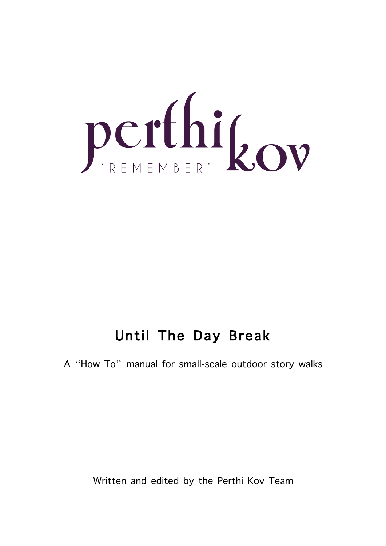

## Until The Day Break

A "How To" manual for small-scale outdoor story walks

Written and edited by the Perthi Kov Team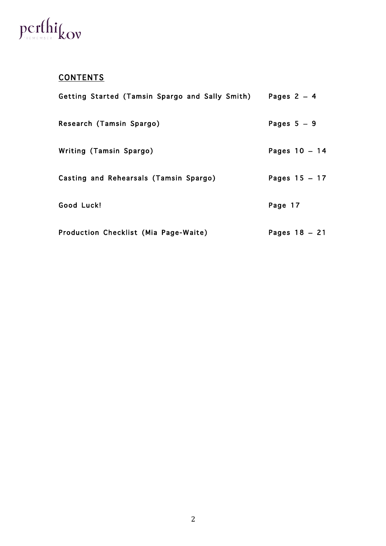# perthi<sub>kov</sub>

## **CONTENTS**

| Getting Started (Tamsin Spargo and Sally Smith) | Pages $2 - 4$   |
|-------------------------------------------------|-----------------|
| Research (Tamsin Spargo)                        | Pages $5 - 9$   |
| Writing (Tamsin Spargo)                         | Pages $10 - 14$ |
| Casting and Rehearsals (Tamsin Spargo)          | Pages $15 - 17$ |
| Good Luck!                                      | Page 17         |
| Production Checklist (Mia Page-Waite)           | Pages $18 - 21$ |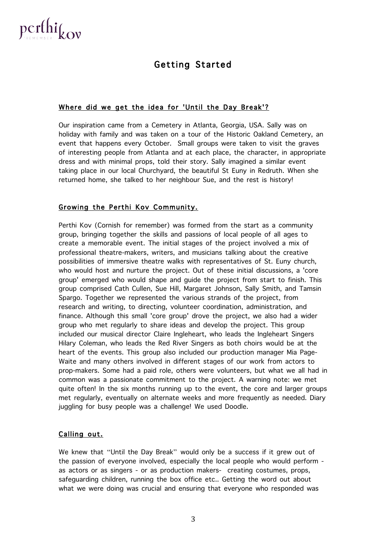

## Getting Started

#### Where did we get the idea for 'Until the Day Break'?

Our inspiration came from a Cemetery in Atlanta, Georgia, USA. Sally was on holiday with family and was taken on a tour of the Historic Oakland Cemetery, an event that happens every October. Small groups were taken to visit the graves of interesting people from Atlanta and at each place, the character, in appropriate dress and with minimal props, told their story. Sally imagined a similar event taking place in our local Churchyard, the beautiful St Euny in Redruth. When she returned home, she talked to her neighbour Sue, and the rest is history!

#### Growing the Perthi Kov Community.

Perthi Kov (Cornish for remember) was formed from the start as a community group, bringing together the skills and passions of local people of all ages to create a memorable event. The initial stages of the project involved a mix of professional theatre-makers, writers, and musicians talking about the creative possibilities of immersive theatre walks with representatives of St. Euny church, who would host and nurture the project. Out of these initial discussions, a 'core group' emerged who would shape and guide the project from start to finish. This group comprised Cath Cullen, Sue Hill, Margaret Johnson, Sally Smith, and Tamsin Spargo. Together we represented the various strands of the project, from research and writing, to directing, volunteer coordination, administration, and finance. Although this small 'core group' drove the project, we also had a wider group who met regularly to share ideas and develop the project. This group included our musical director Claire Ingleheart, who leads the Ingleheart Singers Hilary Coleman, who leads the Red River Singers as both choirs would be at the heart of the events. This group also included our production manager Mia Page-Waite and many others involved in different stages of our work from actors to prop-makers. Some had a paid role, others were volunteers, but what we all had in common was a passionate commitment to the project. A warning note: we met quite often! In the six months running up to the event, the core and larger groups met regularly, eventually on alternate weeks and more frequently as needed. Diary juggling for busy people was a challenge! We used Doodle.

#### Calling out.

We knew that "Until the Day Break" would only be a success if it grew out of the passion of everyone involved, especially the local people who would perform as actors or as singers - or as production makers- creating costumes, props, safeguarding children, running the box office etc.. Getting the word out about what we were doing was crucial and ensuring that everyone who responded was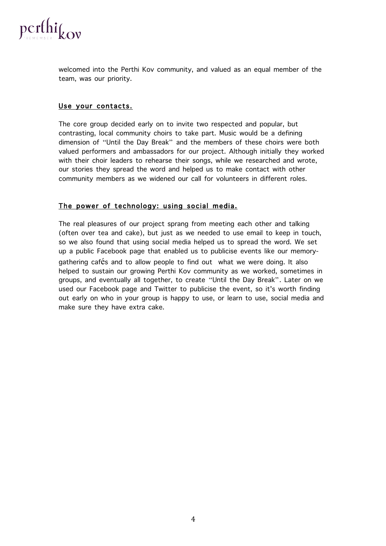

welcomed into the Perthi Kov community, and valued as an equal member of the team, was our priority.

#### Use your contacts.

The core group decided early on to invite two respected and popular, but contrasting, local community choirs to take part. Music would be a defining dimension of "Until the Day Break" and the members of these choirs were both valued performers and ambassadors for our project. Although initially they worked with their choir leaders to rehearse their songs, while we researched and wrote, our stories they spread the word and helped us to make contact with other community members as we widened our call for volunteers in different roles.

#### The power of technology: using social media.

The real pleasures of our project sprang from meeting each other and talking (often over tea and cake), but just as we needed to use email to keep in touch, so we also found that using social media helped us to spread the word. We set up a public Facebook page that enabled us to publicise events like our memorygathering cafés and to allow people to find out what we were doing. It also helped to sustain our growing Perthi Kov community as we worked, sometimes in groups, and eventually all together, to create "Until the Day Break". Later on we used our Facebook page and Twitter to publicise the event, so it's worth finding out early on who in your group is happy to use, or learn to use, social media and make sure they have extra cake.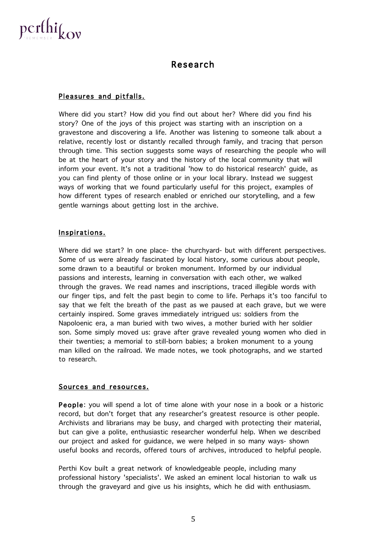

### Research

#### Pleasures and pitfalls.

Where did you start? How did you find out about her? Where did you find his story? One of the joys of this project was starting with an inscription on a gravestone and discovering a life. Another was listening to someone talk about a relative, recently lost or distantly recalled through family, and tracing that person through time. This section suggests some ways of researching the people who will be at the heart of your story and the history of the local community that will inform your event. It's not a traditional 'how to do historical research' guide, as you can find plenty of those online or in your local library. Instead we suggest ways of working that we found particularly useful for this project, examples of how different types of research enabled or enriched our storytelling, and a few gentle warnings about getting lost in the archive.

#### Inspirations.

Where did we start? In one place- the churchyard- but with different perspectives. Some of us were already fascinated by local history, some curious about people, some drawn to a beautiful or broken monument. Informed by our individual passions and interests, learning in conversation with each other, we walked through the graves. We read names and inscriptions, traced illegible words with our finger tips, and felt the past begin to come to life. Perhaps it's too fanciful to say that we felt the breath of the past as we paused at each grave, but we were certainly inspired. Some graves immediately intrigued us: soldiers from the Napoloenic era, a man buried with two wives, a mother buried with her soldier son. Some simply moved us: grave after grave revealed young women who died in their twenties; a memorial to still-born babies; a broken monument to a young man killed on the railroad. We made notes, we took photographs, and we started to research.

#### Sources and resources.

People: you will spend a lot of time alone with your nose in a book or a historic record, but don't forget that any researcher's greatest resource is other people. Archivists and librarians may be busy, and charged with protecting their material, but can give a polite, enthusiastic researcher wonderful help. When we described our project and asked for guidance, we were helped in so many ways- shown useful books and records, offered tours of archives, introduced to helpful people.

Perthi Kov built a great network of knowledgeable people, including many professional history 'specialists'. We asked an eminent local historian to walk us through the graveyard and give us his insights, which he did with enthusiasm.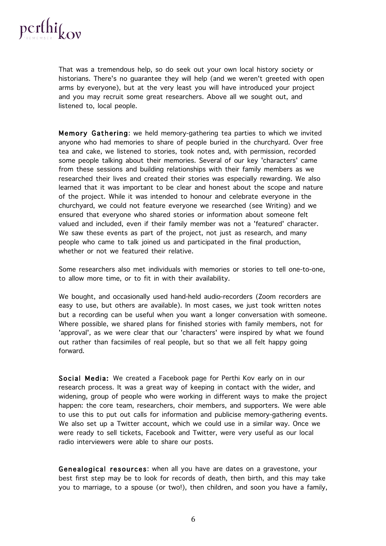

That was a tremendous help, so do seek out your own local history society or historians. There's no guarantee they will help (and we weren't greeted with open arms by everyone), but at the very least you will have introduced your project and you may recruit some great researchers. Above all we sought out, and listened to, local people.

Memory Gathering: we held memory-gathering tea parties to which we invited anyone who had memories to share of people buried in the churchyard. Over free tea and cake, we listened to stories, took notes and, with permission, recorded some people talking about their memories. Several of our key 'characters' came from these sessions and building relationships with their family members as we researched their lives and created their stories was especially rewarding. We also learned that it was important to be clear and honest about the scope and nature of the project. While it was intended to honour and celebrate everyone in the churchyard, we could not feature everyone we researched (see Writing) and we ensured that everyone who shared stories or information about someone felt valued and included, even if their family member was not a 'featured' character. We saw these events as part of the project, not just as research, and many people who came to talk joined us and participated in the final production, whether or not we featured their relative.

Some researchers also met individuals with memories or stories to tell one-to-one, to allow more time, or to fit in with their availability.

We bought, and occasionally used hand-held audio-recorders (Zoom recorders are easy to use, but others are available). In most cases, we just took written notes but a recording can be useful when you want a longer conversation with someone. Where possible, we shared plans for finished stories with family members, not for 'approval', as we were clear that our 'characters' were inspired by what we found out rather than facsimiles of real people, but so that we all felt happy going forward.

Social Media: We created a Facebook page for Perthi Kov early on in our research process. It was a great way of keeping in contact with the wider, and widening, group of people who were working in different ways to make the project happen: the core team, researchers, choir members, and supporters. We were able to use this to put out calls for information and publicise memory-gathering events. We also set up a Twitter account, which we could use in a similar way. Once we were ready to sell tickets, Facebook and Twitter, were very useful as our local radio interviewers were able to share our posts.

Genealogical resources: when all you have are dates on a gravestone, your best first step may be to look for records of death, then birth, and this may take you to marriage, to a spouse (or two!), then children, and soon you have a family,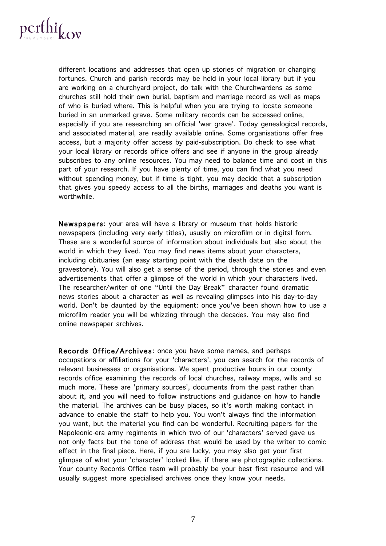

different locations and addresses that open up stories of migration or changing fortunes. Church and parish records may be held in your local library but if you are working on a churchyard project, do talk with the Churchwardens as some churches still hold their own burial, baptism and marriage record as well as maps of who is buried where. This is helpful when you are trying to locate someone buried in an unmarked grave. Some military records can be accessed online, especially if you are researching an official 'war grave'. Today genealogical records, and associated material, are readily available online. Some organisations offer free access, but a majority offer access by paid-subscription. Do check to see what your local library or records office offers and see if anyone in the group already subscribes to any online resources. You may need to balance time and cost in this part of your research. If you have plenty of time, you can find what you need without spending money, but if time is tight, you may decide that a subscription that gives you speedy access to all the births, marriages and deaths you want is worthwhile.

Newspapers: your area will have a library or museum that holds historic newspapers (including very early titles), usually on microfilm or in digital form. These are a wonderful source of information about individuals but also about the world in which they lived. You may find news items about your characters, including obituaries (an easy starting point with the death date on the gravestone). You will also get a sense of the period, through the stories and even advertisements that offer a glimpse of the world in which your characters lived. The researcher/writer of one "Until the Day Break" character found dramatic news stories about a character as well as revealing glimpses into his day-to-day world. Don't be daunted by the equipment: once you've been shown how to use a microfilm reader you will be whizzing through the decades. You may also find online newspaper archives.

Records Office/Archives: once you have some names, and perhaps occupations or affiliations for your 'characters', you can search for the records of relevant businesses or organisations. We spent productive hours in our county records office examining the records of local churches, railway maps, wills and so much more. These are 'primary sources', documents from the past rather than about it, and you will need to follow instructions and guidance on how to handle the material. The archives can be busy places, so it's worth making contact in advance to enable the staff to help you. You won't always find the information you want, but the material you find can be wonderful. Recruiting papers for the Napoleonic-era army regiments in which two of our 'characters' served gave us not only facts but the tone of address that would be used by the writer to comic effect in the final piece. Here, if you are lucky, you may also get your first glimpse of what your 'character' looked like, if there are photographic collections. Your county Records Office team will probably be your best first resource and will usually suggest more specialised archives once they know your needs.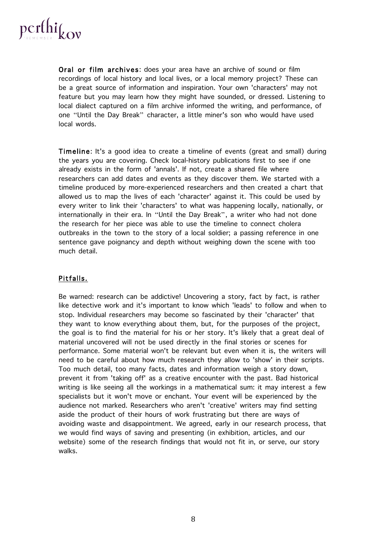

Oral or film archives: does your area have an archive of sound or film recordings of local history and local lives, or a local memory project? These can be a great source of information and inspiration. Your own 'characters' may not feature but you may learn how they might have sounded, or dressed. Listening to local dialect captured on a film archive informed the writing, and performance, of one "Until the Day Break" character, a little miner's son who would have used local words.

Timeline: It's a good idea to create a timeline of events (great and small) during the years you are covering. Check local-history publications first to see if one already exists in the form of 'annals'. If not, create a shared file where researchers can add dates and events as they discover them. We started with a timeline produced by more-experienced researchers and then created a chart that allowed us to map the lives of each 'character' against it. This could be used by every writer to link their 'characters' to what was happening locally, nationally, or internationally in their era. In "Until the Day Break", a writer who had not done the research for her piece was able to use the timeline to connect cholera outbreaks in the town to the story of a local soldier; a passing reference in one sentence gave poignancy and depth without weighing down the scene with too much detail.

#### Pitfalls.

Be warned: research can be addictive! Uncovering a story, fact by fact, is rather like detective work and it's important to know which 'leads' to follow and when to stop. Individual researchers may become so fascinated by their 'character' that they want to know everything about them, but, for the purposes of the project, the goal is to find the material for his or her story. It's likely that a great deal of material uncovered will not be used directly in the final stories or scenes for performance. Some material won't be relevant but even when it is, the writers will need to be careful about how much research they allow to 'show' in their scripts. Too much detail, too many facts, dates and information weigh a story down, prevent it from 'taking off' as a creative encounter with the past. Bad historical writing is like seeing all the workings in a mathematical sum: it may interest a few specialists but it won't move or enchant. Your event will be experienced by the audience not marked. Researchers who aren't 'creative' writers may find setting aside the product of their hours of work frustrating but there are ways of avoiding waste and disappointment. We agreed, early in our research process, that we would find ways of saving and presenting (in exhibition, articles, and our website) some of the research findings that would not fit in, or serve, our story walks.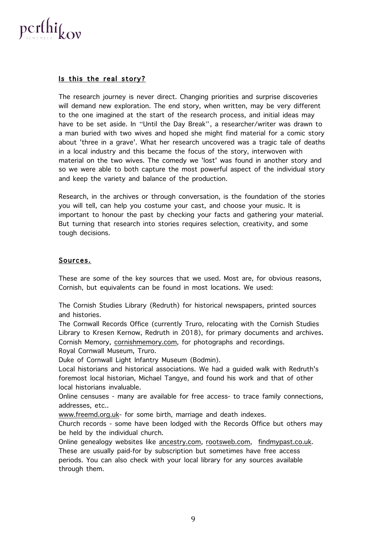

#### Is this the real story?

The research journey is never direct. Changing priorities and surprise discoveries will demand new exploration. The end story, when written, may be very different to the one imagined at the start of the research process, and initial ideas may have to be set aside. In "Until the Day Break", a researcher/writer was drawn to a man buried with two wives and hoped she might find material for a comic story about 'three in a grave'. What her research uncovered was a tragic tale of deaths in a local industry and this became the focus of the story, interwoven with material on the two wives. The comedy we 'lost' was found in another story and so we were able to both capture the most powerful aspect of the individual story and keep the variety and balance of the production.

Research, in the archives or through conversation, is the foundation of the stories you will tell, can help you costume your cast, and choose your music. It is important to honour the past by checking your facts and gathering your material. But turning that research into stories requires selection, creativity, and some tough decisions.

#### Sources.

These are some of the key sources that we used. Most are, for obvious reasons, Cornish, but equivalents can be found in most locations. We used:

The Cornish Studies Library (Redruth) for historical newspapers, printed sources and histories.

The Cornwall Records Office (currently Truro, relocating with the Cornish Studies Library to Kresen Kernow, Redruth in 2018), for primary documents and archives. Cornish Memory, cornishmemory.com, for photographs and recordings.

Royal Cornwall Museum, Truro.

Duke of Cornwall Light Infantry Museum (Bodmin).

Local historians and historical associations. We had a guided walk with Redruth's foremost local historian, Michael Tangye, and found his work and that of other local historians invaluable.

Online censuses - many are available for free access- to trace family connections, addresses, etc..

www.freemd.org.uk- for some birth, marriage and death indexes.

Church records - some have been lodged with the Records Office but others may be held by the individual church.

Online genealogy websites like ancestry.com, rootsweb.com, findmypast.co.uk. These are usually paid-for by subscription but sometimes have free access periods. You can also check with your local library for any sources available through them.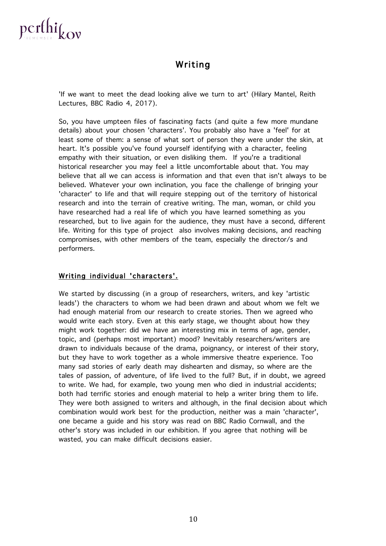

## Writing

'If we want to meet the dead looking alive we turn to art' (Hilary Mantel, Reith Lectures, BBC Radio 4, 2017).

So, you have umpteen files of fascinating facts (and quite a few more mundane details) about your chosen 'characters'. You probably also have a 'feel' for at least some of them: a sense of what sort of person they were under the skin, at heart. It's possible you've found yourself identifying with a character, feeling empathy with their situation, or even disliking them. If you're a traditional historical researcher you may feel a little uncomfortable about that. You may believe that all we can access is information and that even that isn't always to be believed. Whatever your own inclination, you face the challenge of bringing your 'character' to life and that will require stepping out of the territory of historical research and into the terrain of creative writing. The man, woman, or child you have researched had a real life of which you have learned something as you researched, but to live again for the audience, they must have a second, different life. Writing for this type of project also involves making decisions, and reaching compromises, with other members of the team, especially the director/s and performers.

#### Writing individual 'characters'.

We started by discussing (in a group of researchers, writers, and key 'artistic leads') the characters to whom we had been drawn and about whom we felt we had enough material from our research to create stories. Then we agreed who would write each story. Even at this early stage, we thought about how they might work together: did we have an interesting mix in terms of age, gender, topic, and (perhaps most important) mood? Inevitably researchers/writers are drawn to individuals because of the drama, poignancy, or interest of their story, but they have to work together as a whole immersive theatre experience. Too many sad stories of early death may dishearten and dismay, so where are the tales of passion, of adventure, of life lived to the full? But, if in doubt, we agreed to write. We had, for example, two young men who died in industrial accidents; both had terrific stories and enough material to help a writer bring them to life. They were both assigned to writers and although, in the final decision about which combination would work best for the production, neither was a main 'character', one became a guide and his story was read on BBC Radio Cornwall, and the other's story was included in our exhibition. If you agree that nothing will be wasted, you can make difficult decisions easier.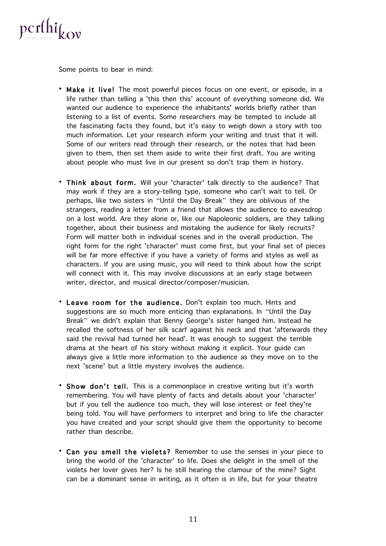

Some points to bear in mind:

- Make it live! The most powerful pieces focus on one event, or episode, in a life rather than telling a 'this then this' account of everything someone did. We wanted our audience to experience the inhabitants' worlds briefly rather than listening to a list of events. Some researchers may be tempted to include all the fascinating facts they found, but it's easy to weigh down a story with too much information. Let your research inform your writing and trust that it will. Some of our writers read through their research, or the notes that had been given to them, then set them aside to write their first draft. You are writing about people who must live in our present so don't trap them in history.
- Think about form. Will your 'character' talk directly to the audience? That may work if they are a story-telling type, someone who can't wait to tell. Or perhaps, like two sisters in "Until the Day Break" they are oblivious of the strangers, reading a letter from a friend that allows the audience to eavesdrop on a lost world. Are they alone or, like our Napoleonic soldiers, are they talking together, about their business and mistaking the audience for likely recruits? Form will matter both in individual scenes and in the overall production. The right form for the right 'character' must come first, but your final set of pieces will be far more effective if you have a variety of forms and styles as well as characters. If you are using music, you will need to think about how the script will connect with it. This may involve discussions at an early stage between writer, director, and musical director/composer/musician.
- Leave room for the audience. Don't explain too much. Hints and suggestions are so much more enticing than explanations. In "Until the Day Break" we didn't explain that Benny George's sister hanged him. Instead he recalled the softness of her silk scarf against his neck and that 'afterwards they said the revival had turned her head'. It was enough to suggest the terrible drama at the heart of his story without making it explicit. Your guide can always give a little more information to the audience as they move on to the next 'scene' but a little mystery involves the audience.
- Show don't tell. This is a commonplace in creative writing but it's worth remembering. You will have plenty of facts and details about your 'character' but if you tell the audience too much, they will lose interest or feel they're being told. You will have performers to interpret and bring to life the character you have created and your script should give them the opportunity to become rather than describe.
- Can you smell the violets? Remember to use the senses in your piece to bring the world of the 'character' to life. Does she delight in the smell of the violets her lover gives her? Is he still hearing the clamour of the mine? Sight can be a dominant sense in writing, as it often is in life, but for your theatre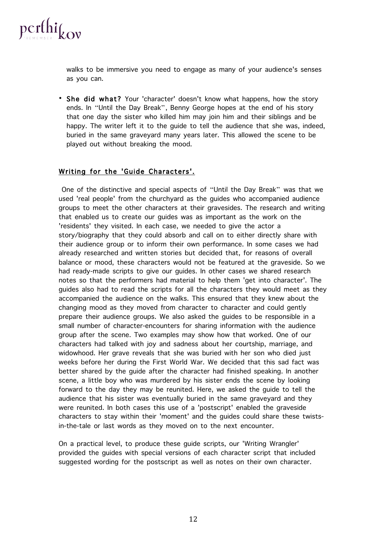

walks to be immersive you need to engage as many of your audience's senses as you can.

• She did what? Your 'character' doesn't know what happens, how the story ends. In "Until the Day Break", Benny George hopes at the end of his story that one day the sister who killed him may join him and their siblings and be happy. The writer left it to the guide to tell the audience that she was, indeed, buried in the same graveyard many years later. This allowed the scene to be played out without breaking the mood.

#### Writing for the 'Guide Characters'.

One of the distinctive and special aspects of "Until the Day Break" was that we used 'real people' from the churchyard as the guides who accompanied audience groups to meet the other characters at their gravesides. The research and writing that enabled us to create our guides was as important as the work on the 'residents' they visited. In each case, we needed to give the actor a story/biography that they could absorb and call on to either directly share with their audience group or to inform their own performance. In some cases we had already researched and written stories but decided that, for reasons of overall balance or mood, these characters would not be featured at the graveside. So we had ready-made scripts to give our guides. In other cases we shared research notes so that the performers had material to help them 'get into character'. The guides also had to read the scripts for all the characters they would meet as they accompanied the audience on the walks. This ensured that they knew about the changing mood as they moved from character to character and could gently prepare their audience groups. We also asked the guides to be responsible in a small number of character-encounters for sharing information with the audience group after the scene. Two examples may show how that worked. One of our characters had talked with joy and sadness about her courtship, marriage, and widowhood. Her grave reveals that she was buried with her son who died just weeks before her during the First World War. We decided that this sad fact was better shared by the guide after the character had finished speaking. In another scene, a little boy who was murdered by his sister ends the scene by looking forward to the day they may be reunited. Here, we asked the guide to tell the audience that his sister was eventually buried in the same graveyard and they were reunited. In both cases this use of a 'postscript' enabled the graveside characters to stay within their 'moment' and the guides could share these twistsin-the-tale or last words as they moved on to the next encounter.

On a practical level, to produce these guide scripts, our 'Writing Wrangler' provided the guides with special versions of each character script that included suggested wording for the postscript as well as notes on their own character.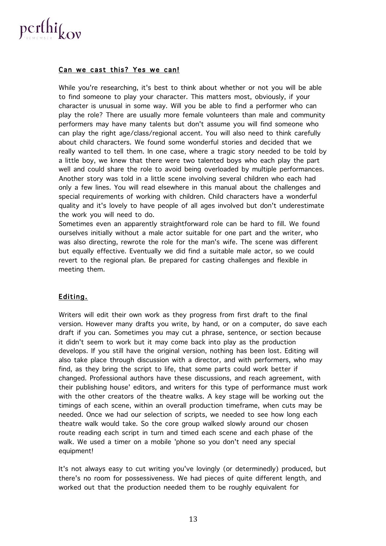

#### Can we cast this? Yes we can!

While you're researching, it's best to think about whether or not you will be able to find someone to play your character. This matters most, obviously, if your character is unusual in some way. Will you be able to find a performer who can play the role? There are usually more female volunteers than male and community performers may have many talents but don't assume you will find someone who can play the right age/class/regional accent. You will also need to think carefully about child characters. We found some wonderful stories and decided that we really wanted to tell them. In one case, where a tragic story needed to be told by a little boy, we knew that there were two talented boys who each play the part well and could share the role to avoid being overloaded by multiple performances. Another story was told in a little scene involving several children who each had only a few lines. You will read elsewhere in this manual about the challenges and special requirements of working with children. Child characters have a wonderful quality and it's lovely to have people of all ages involved but don't underestimate the work you will need to do.

Sometimes even an apparently straightforward role can be hard to fill. We found ourselves initially without a male actor suitable for one part and the writer, who was also directing, rewrote the role for the man's wife. The scene was different but equally effective. Eventually we did find a suitable male actor, so we could revert to the regional plan. Be prepared for casting challenges and flexible in meeting them.

#### Editing.

Writers will edit their own work as they progress from first draft to the final version. However many drafts you write, by hand, or on a computer, do save each draft if you can. Sometimes you may cut a phrase, sentence, or section because it didn't seem to work but it may come back into play as the production develops. If you still have the original version, nothing has been lost. Editing will also take place through discussion with a director, and with performers, who may find, as they bring the script to life, that some parts could work better if changed. Professional authors have these discussions, and reach agreement, with their publishing house' editors, and writers for this type of performance must work with the other creators of the theatre walks. A key stage will be working out the timings of each scene, within an overall production timeframe, when cuts may be needed. Once we had our selection of scripts, we needed to see how long each theatre walk would take. So the core group walked slowly around our chosen route reading each script in turn and timed each scene and each phase of the walk. We used a timer on a mobile 'phone so you don't need any special equipment!

It's not always easy to cut writing you've lovingly (or determinedly) produced, but there's no room for possessiveness. We had pieces of quite different length, and worked out that the production needed them to be roughly equivalent for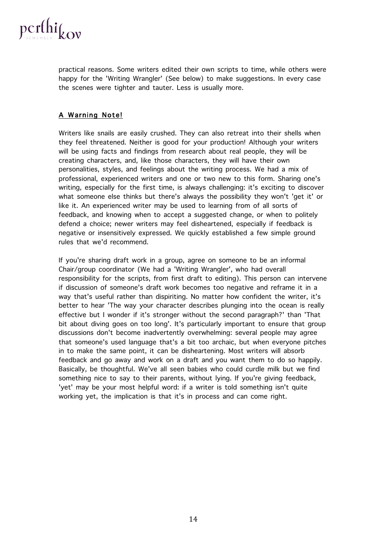

practical reasons. Some writers edited their own scripts to time, while others were happy for the 'Writing Wrangler' (See below) to make suggestions. In every case the scenes were tighter and tauter. Less is usually more.

#### A Warning Note!

Writers like snails are easily crushed. They can also retreat into their shells when they feel threatened. Neither is good for your production! Although your writers will be using facts and findings from research about real people, they will be creating characters, and, like those characters, they will have their own personalities, styles, and feelings about the writing process. We had a mix of professional, experienced writers and one or two new to this form. Sharing one's writing, especially for the first time, is always challenging: it's exciting to discover what someone else thinks but there's always the possibility they won't 'get it' or like it. An experienced writer may be used to learning from of all sorts of feedback, and knowing when to accept a suggested change, or when to politely defend a choice; newer writers may feel disheartened, especially if feedback is negative or insensitively expressed. We quickly established a few simple ground rules that we'd recommend.

If you're sharing draft work in a group, agree on someone to be an informal Chair/group coordinator (We had a 'Writing Wrangler', who had overall responsibility for the scripts, from first draft to editing). This person can intervene if discussion of someone's draft work becomes too negative and reframe it in a way that's useful rather than dispiriting. No matter how confident the writer, it's better to hear 'The way your character describes plunging into the ocean is really effective but I wonder if it's stronger without the second paragraph?' than 'That bit about diving goes on too long'. It's particularly important to ensure that group discussions don't become inadvertently overwhelming: several people may agree that someone's used language that's a bit too archaic, but when everyone pitches in to make the same point, it can be disheartening. Most writers will absorb feedback and go away and work on a draft and you want them to do so happily. Basically, be thoughtful. We've all seen babies who could curdle milk but we find something nice to say to their parents, without lying. If you're giving feedback, 'yet' may be your most helpful word: if a writer is told something isn't quite working yet, the implication is that it's in process and can come right.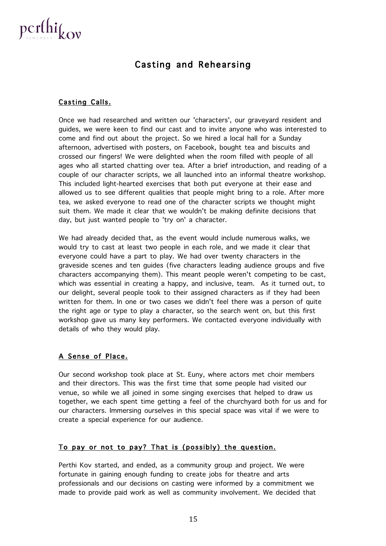

## Casting and Rehearsing

#### Casting Calls.

Once we had researched and written our 'characters', our graveyard resident and guides, we were keen to find our cast and to invite anyone who was interested to come and find out about the project. So we hired a local hall for a Sunday afternoon, advertised with posters, on Facebook, bought tea and biscuits and crossed our fingers! We were delighted when the room filled with people of all ages who all started chatting over tea. After a brief introduction, and reading of a couple of our character scripts, we all launched into an informal theatre workshop. This included light-hearted exercises that both put everyone at their ease and allowed us to see different qualities that people might bring to a role. After more tea, we asked everyone to read one of the character scripts we thought might suit them. We made it clear that we wouldn't be making definite decisions that day, but just wanted people to 'try on' a character.

We had already decided that, as the event would include numerous walks, we would try to cast at least two people in each role, and we made it clear that everyone could have a part to play. We had over twenty characters in the graveside scenes and ten guides (five characters leading audience groups and five characters accompanying them). This meant people weren't competing to be cast, which was essential in creating a happy, and inclusive, team. As it turned out, to our delight, several people took to their assigned characters as if they had been written for them. In one or two cases we didn't feel there was a person of quite the right age or type to play a character, so the search went on, but this first workshop gave us many key performers. We contacted everyone individually with details of who they would play.

#### A Sense of Place.

Our second workshop took place at St. Euny, where actors met choir members and their directors. This was the first time that some people had visited our venue, so while we all joined in some singing exercises that helped to draw us together, we each spent time getting a feel of the churchyard both for us and for our characters. Immersing ourselves in this special space was vital if we were to create a special experience for our audience.

#### To pay or not to pay? That is (possibly) the question.

Perthi Kov started, and ended, as a community group and project. We were fortunate in gaining enough funding to create jobs for theatre and arts professionals and our decisions on casting were informed by a commitment we made to provide paid work as well as community involvement. We decided that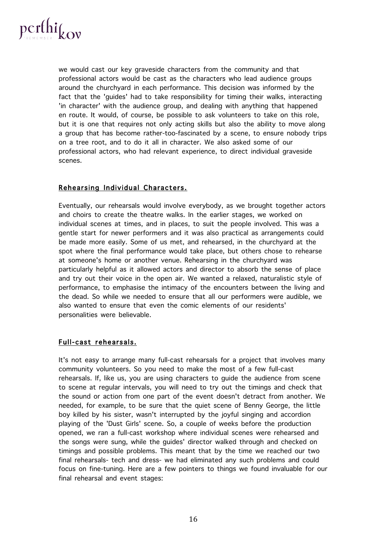

we would cast our key graveside characters from the community and that professional actors would be cast as the characters who lead audience groups around the churchyard in each performance. This decision was informed by the fact that the 'guides' had to take responsibility for timing their walks, interacting 'in character' with the audience group, and dealing with anything that happened en route. It would, of course, be possible to ask volunteers to take on this role, but it is one that requires not only acting skills but also the ability to move along a group that has become rather-too-fascinated by a scene, to ensure nobody trips on a tree root, and to do it all in character. We also asked some of our professional actors, who had relevant experience, to direct individual graveside scenes.

#### Rehearsing Individual Characters.

Eventually, our rehearsals would involve everybody, as we brought together actors and choirs to create the theatre walks. In the earlier stages, we worked on individual scenes at times, and in places, to suit the people involved. This was a gentle start for newer performers and it was also practical as arrangements could be made more easily. Some of us met, and rehearsed, in the churchyard at the spot where the final performance would take place, but others chose to rehearse at someone's home or another venue. Rehearsing in the churchyard was particularly helpful as it allowed actors and director to absorb the sense of place and try out their voice in the open air. We wanted a relaxed, naturalistic style of performance, to emphasise the intimacy of the encounters between the living and the dead. So while we needed to ensure that all our performers were audible, we also wanted to ensure that even the comic elements of our residents' personalities were believable.

#### Full-cast rehearsals.

It's not easy to arrange many full-cast rehearsals for a project that involves many community volunteers. So you need to make the most of a few full-cast rehearsals. If, like us, you are using characters to guide the audience from scene to scene at regular intervals, you will need to try out the timings and check that the sound or action from one part of the event doesn't detract from another. We needed, for example, to be sure that the quiet scene of Benny George, the little boy killed by his sister, wasn't interrupted by the joyful singing and accordion playing of the 'Dust Girls' scene. So, a couple of weeks before the production opened, we ran a full-cast workshop where individual scenes were rehearsed and the songs were sung, while the guides' director walked through and checked on timings and possible problems. This meant that by the time we reached our two final rehearsals- tech and dress- we had eliminated any such problems and could focus on fine-tuning. Here are a few pointers to things we found invaluable for our final rehearsal and event stages: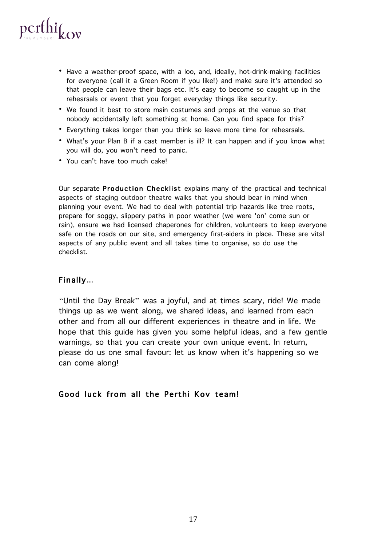

- Have a weather-proof space, with a loo, and, ideally, hot-drink-making facilities for everyone (call it a Green Room if you like!) and make sure it's attended so that people can leave their bags etc. It's easy to become so caught up in the rehearsals or event that you forget everyday things like security.
- We found it best to store main costumes and props at the venue so that nobody accidentally left something at home. Can you find space for this?
- Everything takes longer than you think so leave more time for rehearsals.
- What's your Plan B if a cast member is ill? It can happen and if you know what you will do, you won't need to panic.
- You can't have too much cake!

Our separate Production Checklist explains many of the practical and technical aspects of staging outdoor theatre walks that you should bear in mind when planning your event. We had to deal with potential trip hazards like tree roots, prepare for soggy, slippery paths in poor weather (we were 'on' come sun or rain), ensure we had licensed chaperones for children, volunteers to keep everyone safe on the roads on our site, and emergency first-aiders in place. These are vital aspects of any public event and all takes time to organise, so do use the checklist.

#### Finally...

"Until the Day Break" was a joyful, and at times scary, ride! We made things up as we went along, we shared ideas, and learned from each other and from all our different experiences in theatre and in life. We hope that this guide has given you some helpful ideas, and a few gentle warnings, so that you can create your own unique event. In return, please do us one small favour: let us know when it's happening so we can come along!

#### Good luck from all the Perthi Kov team!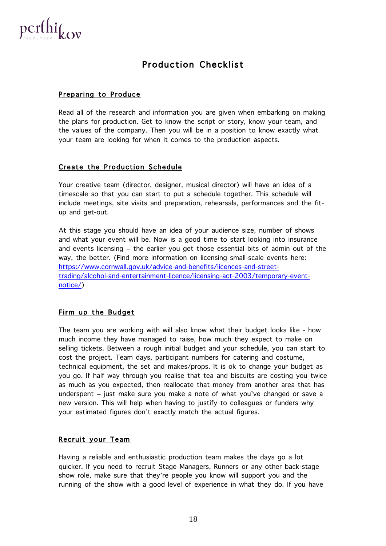

## Production Checklist

#### Preparing to Produce

Read all of the research and information you are given when embarking on making the plans for production. Get to know the script or story, know your team, and the values of the company. Then you will be in a position to know exactly what your team are looking for when it comes to the production aspects.

#### Create the Production Schedule

Your creative team (director, designer, musical director) will have an idea of a timescale so that you can start to put a schedule together. This schedule will include meetings, site visits and preparation, rehearsals, performances and the fitup and get-out.

At this stage you should have an idea of your audience size, number of shows and what your event will be. Now is a good time to start looking into insurance and events licensing – the earlier you get those essential bits of admin out of the way, the better. (Find more information on licensing small-scale events here: https://www.cornwall.gov.uk/advice-and-benefits/licences-and-streettrading/alcohol-and-entertainment-licence/licensing-act-2003/temporary-eventnotice/)

#### Firm up the Budget

The team you are working with will also know what their budget looks like - how much income they have managed to raise, how much they expect to make on selling tickets. Between a rough initial budget and your schedule, you can start to cost the project. Team days, participant numbers for catering and costume, technical equipment, the set and makes/props. It is ok to change your budget as you go. If half way through you realise that tea and biscuits are costing you twice as much as you expected, then reallocate that money from another area that has underspent – just make sure you make a note of what you've changed or save a new version. This will help when having to justify to colleagues or funders why your estimated figures don't exactly match the actual figures.

#### Recruit your Team

Having a reliable and enthusiastic production team makes the days go a lot quicker. If you need to recruit Stage Managers, Runners or any other back-stage show role, make sure that they're people you know will support you and the running of the show with a good level of experience in what they do. If you have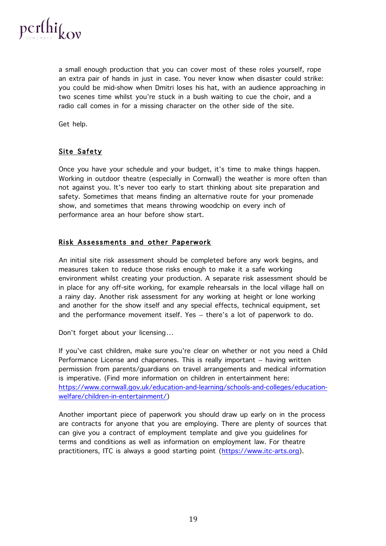

a small enough production that you can cover most of these roles yourself, rope an extra pair of hands in just in case. You never know when disaster could strike: you could be mid-show when Dmitri loses his hat, with an audience approaching in two scenes time whilst you're stuck in a bush waiting to cue the choir, and a radio call comes in for a missing character on the other side of the site.

Get help.

#### Site Safety

Once you have your schedule and your budget, it's time to make things happen. Working in outdoor theatre (especially in Cornwall) the weather is more often than not against you. It's never too early to start thinking about site preparation and safety. Sometimes that means finding an alternative route for your promenade show, and sometimes that means throwing woodchip on every inch of performance area an hour before show start.

#### Risk Assessments and other Paperwork

An initial site risk assessment should be completed before any work begins, and measures taken to reduce those risks enough to make it a safe working environment whilst creating your production. A separate risk assessment should be in place for any off-site working, for example rehearsals in the local village hall on a rainy day. Another risk assessment for any working at height or lone working and another for the show itself and any special effects, technical equipment, set and the performance movement itself. Yes – there's a lot of paperwork to do.

Don't forget about your licensing…

If you've cast children, make sure you're clear on whether or not you need a Child Performance License and chaperones. This is really important – having written permission from parents/guardians on travel arrangements and medical information is imperative. (Find more information on children in entertainment here: https://www.cornwall.gov.uk/education-and-learning/schools-and-colleges/educationwelfare/children-in-entertainment/)

Another important piece of paperwork you should draw up early on in the process are contracts for anyone that you are employing. There are plenty of sources that can give you a contract of employment template and give you guidelines for terms and conditions as well as information on employment law. For theatre practitioners, ITC is always a good starting point (https://www.itc-arts.org).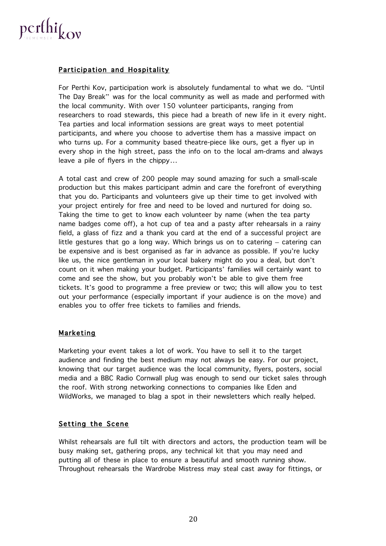

#### Participation and Hospitality

For Perthi Kov, participation work is absolutely fundamental to what we do. "Until The Day Break" was for the local community as well as made and performed with the local community. With over 150 volunteer participants, ranging from researchers to road stewards, this piece had a breath of new life in it every night. Tea parties and local information sessions are great ways to meet potential participants, and where you choose to advertise them has a massive impact on who turns up. For a community based theatre-piece like ours, get a flyer up in every shop in the high street, pass the info on to the local am-drams and always leave a pile of flyers in the chippy…

A total cast and crew of 200 people may sound amazing for such a small-scale production but this makes participant admin and care the forefront of everything that you do. Participants and volunteers give up their time to get involved with your project entirely for free and need to be loved and nurtured for doing so. Taking the time to get to know each volunteer by name (when the tea party name badges come off), a hot cup of tea and a pasty after rehearsals in a rainy field, a glass of fizz and a thank you card at the end of a successful project are little gestures that go a long way. Which brings us on to catering – catering can be expensive and is best organised as far in advance as possible. If you're lucky like us, the nice gentleman in your local bakery might do you a deal, but don't count on it when making your budget. Participants' families will certainly want to come and see the show, but you probably won't be able to give them free tickets. It's good to programme a free preview or two; this will allow you to test out your performance (especially important if your audience is on the move) and enables you to offer free tickets to families and friends.

#### Marketing

Marketing your event takes a lot of work. You have to sell it to the target audience and finding the best medium may not always be easy. For our project, knowing that our target audience was the local community, flyers, posters, social media and a BBC Radio Cornwall plug was enough to send our ticket sales through the roof. With strong networking connections to companies like Eden and WildWorks, we managed to blag a spot in their newsletters which really helped.

#### Setting the Scene

Whilst rehearsals are full tilt with directors and actors, the production team will be busy making set, gathering props, any technical kit that you may need and putting all of these in place to ensure a beautiful and smooth running show. Throughout rehearsals the Wardrobe Mistress may steal cast away for fittings, or